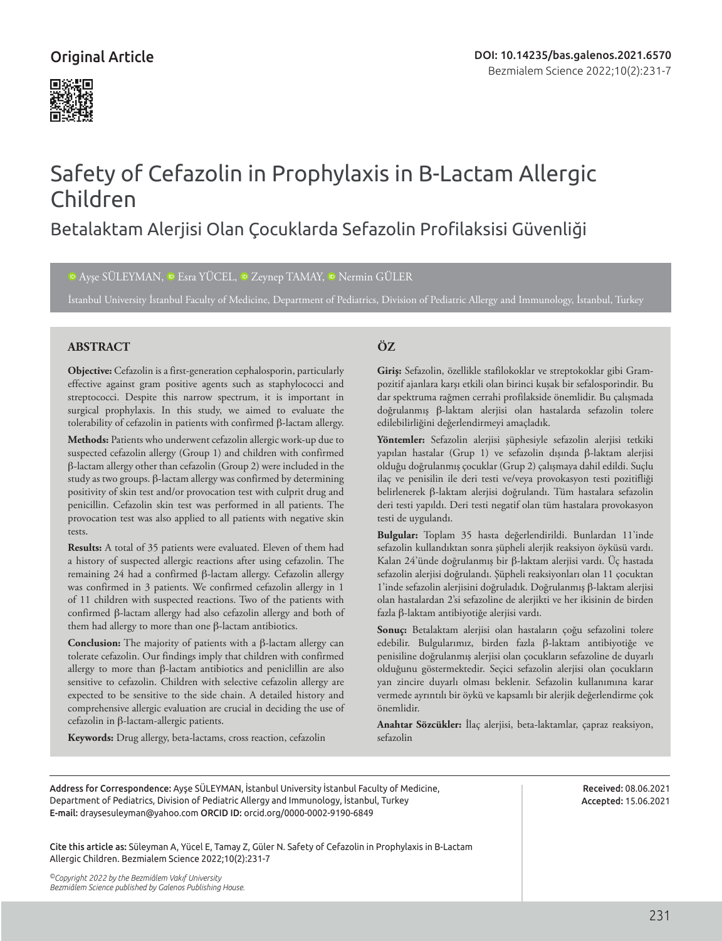### Original Article



# Safety of Cefazolin in Prophylaxis in Β-Lactam Allergic Children

## Betalaktam Alerjisi Olan Çocuklarda Sefazolin Profilaksisi Güvenliği

#### IDAyşe SÜLEYMAN, ID Esra YÜCEL, ID Zeynep TAMAY, ID Nermin GÜLER

İstanbul University İstanbul Faculty of Medicine, Department of Pediatrics, Division of Pediatric Allergy and Immunology, İstanbul, Turkey

#### **ABSTRACT ÖZ**

**Objective:** Cefazolin is a first-generation cephalosporin, particularly effective against gram positive agents such as staphylococci and streptococci. Despite this narrow spectrum, it is important in surgical prophylaxis. In this study, we aimed to evaluate the tolerability of cefazolin in patients with confirmed β-lactam allergy.

**Methods:** Patients who underwent cefazolin allergic work-up due to suspected cefazolin allergy (Group 1) and children with confirmed β-lactam allergy other than cefazolin (Group 2) were included in the study as two groups. β-lactam allergy was confirmed by determining positivity of skin test and/or provocation test with culprit drug and penicillin. Cefazolin skin test was performed in all patients. The provocation test was also applied to all patients with negative skin tests.

**Results:** A total of 35 patients were evaluated. Eleven of them had a history of suspected allergic reactions after using cefazolin. The remaining 24 had a confirmed β-lactam allergy. Cefazolin allergy was confirmed in 3 patients. We confirmed cefazolin allergy in 1 of 11 children with suspected reactions. Two of the patients with confirmed β-lactam allergy had also cefazolin allergy and both of them had allergy to more than one β-lactam antibiotics.

**Conclusion:** The majority of patients with a β-lactam allergy can tolerate cefazolin. Our findings imply that children with confirmed allergy to more than β-lactam antibiotics and peniclillin are also sensitive to cefazolin. Children with selective cefazolin allergy are expected to be sensitive to the side chain. A detailed history and comprehensive allergic evaluation are crucial in deciding the use of cefazolin in β-lactam-allergic patients.

#### **Keywords:** Drug allergy, beta-lactams, cross reaction, cefazolin

**Giriş:** Sefazolin, özellikle stafilokoklar ve streptokoklar gibi Grampozitif ajanlara karşı etkili olan birinci kuşak bir sefalosporindir. Bu dar spektruma rağmen cerrahi profilakside önemlidir. Bu çalışmada doğrulanmış β-laktam alerjisi olan hastalarda sefazolin tolere edilebilirliğini değerlendirmeyi amaçladık.

**Yöntemler:** Sefazolin alerjisi şüphesiyle sefazolin alerjisi tetkiki yapılan hastalar (Grup 1) ve sefazolin dışında β-laktam alerjisi olduğu doğrulanmış çocuklar (Grup 2) çalışmaya dahil edildi. Suçlu ilaç ve penisilin ile deri testi ve/veya provokasyon testi pozitifliği belirlenerek β-laktam alerjisi doğrulandı. Tüm hastalara sefazolin deri testi yapıldı. Deri testi negatif olan tüm hastalara provokasyon testi de uygulandı.

**Bulgular:** Toplam 35 hasta değerlendirildi. Bunlardan 11'inde sefazolin kullandıktan sonra şüpheli alerjik reaksiyon öyküsü vardı. Kalan 24'ünde doğrulanmış bir β-laktam alerjisi vardı. Üç hastada sefazolin alerjisi doğrulandı. Şüpheli reaksiyonları olan 11 çocuktan 1'inde sefazolin alerjisini doğruladık. Doğrulanmış β-laktam alerjisi olan hastalardan 2'si sefazoline de alerjikti ve her ikisinin de birden fazla β-laktam antibiyotiğe alerjisi vardı.

**Sonuç:** Betalaktam alerjisi olan hastaların çoğu sefazolini tolere edebilir. Bulgularımız, birden fazla β-laktam antibiyotiğe ve penisiline doğrulanmış alerjisi olan çocukların sefazoline de duyarlı olduğunu göstermektedir. Seçici sefazolin alerjisi olan çocukların yan zincire duyarlı olması beklenir. Sefazolin kullanımına karar vermede ayrıntılı bir öykü ve kapsamlı bir alerjik değerlendirme çok önemlidir.

**Anahtar Sözcükler:** İlaç alerjisi, beta-laktamlar, çapraz reaksiyon, sefazolin

Address for Correspondence: Ayşe SÜLEYMAN, İstanbul University İstanbul Faculty of Medicine, Department of Pediatrics, Division of Pediatric Allergy and Immunology, İstanbul, Turkey E-mail: draysesuleyman@yahoo.com ORCID ID: orcid.org/0000-0002-9190-6849

Received: 08.06.2021 Accepted: 15.06.2021

Cite this article as: Süleyman A, Yücel E, Tamay Z, Güler N. Safety of Cefazolin in Prophylaxis in Β-Lactam Allergic Children. Bezmialem Science 2022;10(2):231-7

*©Copyright 2022 by the Bezmiâlem Vakıf University Bezmiâlem Science published by Galenos Publishing House.*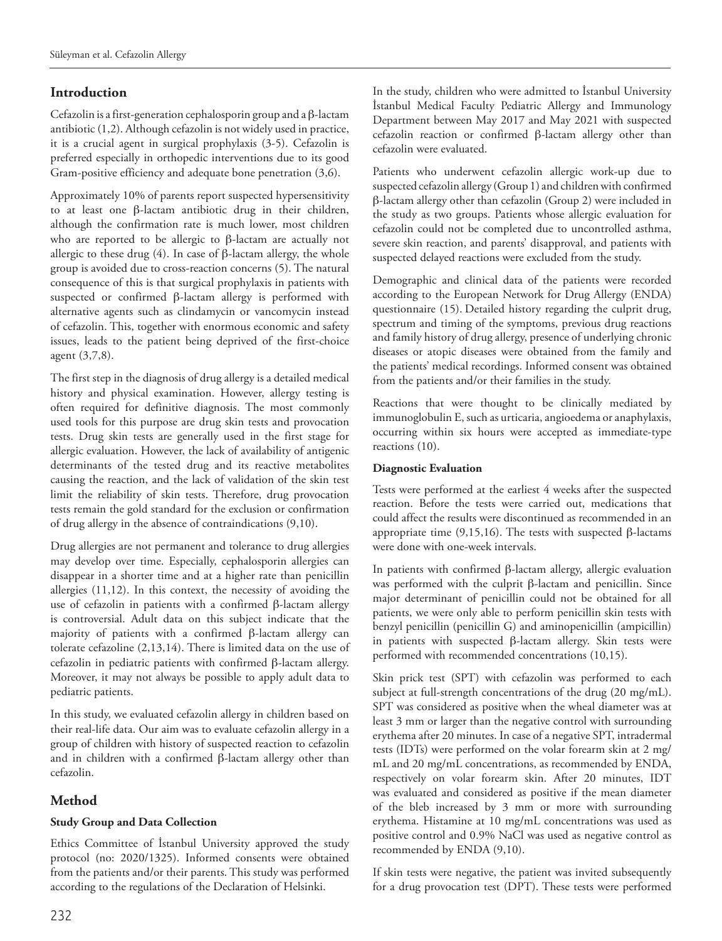#### **Introduction**

Cefazolin is a first-generation cephalosporin group and a β-lactam antibiotic (1,2). Although cefazolin is not widely used in practice, it is a crucial agent in surgical prophylaxis (3-5). Cefazolin is preferred especially in orthopedic interventions due to its good Gram-positive efficiency and adequate bone penetration (3,6).

Approximately 10% of parents report suspected hypersensitivity to at least one β-lactam antibiotic drug in their children, although the confirmation rate is much lower, most children who are reported to be allergic to β-lactam are actually not allergic to these drug  $(4)$ . In case of β-lactam allergy, the whole group is avoided due to cross-reaction concerns (5). The natural consequence of this is that surgical prophylaxis in patients with suspected or confirmed β-lactam allergy is performed with alternative agents such as clindamycin or vancomycin instead of cefazolin. This, together with enormous economic and safety issues, leads to the patient being deprived of the first-choice agent (3,7,8).

The first step in the diagnosis of drug allergy is a detailed medical history and physical examination. However, allergy testing is often required for definitive diagnosis. The most commonly used tools for this purpose are drug skin tests and provocation tests. Drug skin tests are generally used in the first stage for allergic evaluation. However, the lack of availability of antigenic determinants of the tested drug and its reactive metabolites causing the reaction, and the lack of validation of the skin test limit the reliability of skin tests. Therefore, drug provocation tests remain the gold standard for the exclusion or confirmation of drug allergy in the absence of contraindications (9,10).

Drug allergies are not permanent and tolerance to drug allergies may develop over time. Especially, cephalosporin allergies can disappear in a shorter time and at a higher rate than penicillin allergies (11,12). In this context, the necessity of avoiding the use of cefazolin in patients with a confirmed β-lactam allergy is controversial. Adult data on this subject indicate that the majority of patients with a confirmed β-lactam allergy can tolerate cefazoline (2,13,14). There is limited data on the use of cefazolin in pediatric patients with confirmed β-lactam allergy. Moreover, it may not always be possible to apply adult data to pediatric patients.

In this study, we evaluated cefazolin allergy in children based on their real-life data. Our aim was to evaluate cefazolin allergy in a group of children with history of suspected reaction to cefazolin and in children with a confirmed β-lactam allergy other than cefazolin.

### **Method**

#### **Study Group and Data Collection**

Ethics Committee of İstanbul University approved the study protocol (no: 2020/1325). Informed consents were obtained from the patients and/or their parents. This study was performed according to the regulations of the Declaration of Helsinki.

In the study, children who were admitted to İstanbul University İstanbul Medical Faculty Pediatric Allergy and Immunology Department between May 2017 and May 2021 with suspected cefazolin reaction or confirmed β-lactam allergy other than cefazolin were evaluated.

Patients who underwent cefazolin allergic work-up due to suspected cefazolin allergy (Group 1) and children with confirmed β-lactam allergy other than cefazolin (Group 2) were included in the study as two groups. Patients whose allergic evaluation for cefazolin could not be completed due to uncontrolled asthma, severe skin reaction, and parents' disapproval, and patients with suspected delayed reactions were excluded from the study.

Demographic and clinical data of the patients were recorded according to the European Network for Drug Allergy (ENDA) questionnaire (15). Detailed history regarding the culprit drug, spectrum and timing of the symptoms, previous drug reactions and family history of drug allergy, presence of underlying chronic diseases or atopic diseases were obtained from the family and the patients' medical recordings. Informed consent was obtained from the patients and/or their families in the study.

Reactions that were thought to be clinically mediated by immunoglobulin E, such as urticaria, angioedema or anaphylaxis, occurring within six hours were accepted as immediate-type reactions (10).

#### **Diagnostic Evaluation**

Tests were performed at the earliest 4 weeks after the suspected reaction. Before the tests were carried out, medications that could affect the results were discontinued as recommended in an appropriate time  $(9,15,16)$ . The tests with suspected β-lactams were done with one-week intervals.

In patients with confirmed β-lactam allergy, allergic evaluation was performed with the culprit β-lactam and penicillin. Since major determinant of penicillin could not be obtained for all patients, we were only able to perform penicillin skin tests with benzyl penicillin (penicillin G) and aminopenicillin (ampicillin) in patients with suspected β-lactam allergy. Skin tests were performed with recommended concentrations (10,15).

Skin prick test (SPT) with cefazolin was performed to each subject at full-strength concentrations of the drug (20 mg/mL). SPT was considered as positive when the wheal diameter was at least 3 mm or larger than the negative control with surrounding erythema after 20 minutes. In case of a negative SPT, intradermal tests (IDTs) were performed on the volar forearm skin at 2 mg/ mL and 20 mg/mL concentrations, as recommended by ENDA, respectively on volar forearm skin. After 20 minutes, IDT was evaluated and considered as positive if the mean diameter of the bleb increased by 3 mm or more with surrounding erythema. Histamine at 10 mg/mL concentrations was used as positive control and 0.9% NaCl was used as negative control as recommended by ENDA (9,10).

If skin tests were negative, the patient was invited subsequently for a drug provocation test (DPT). These tests were performed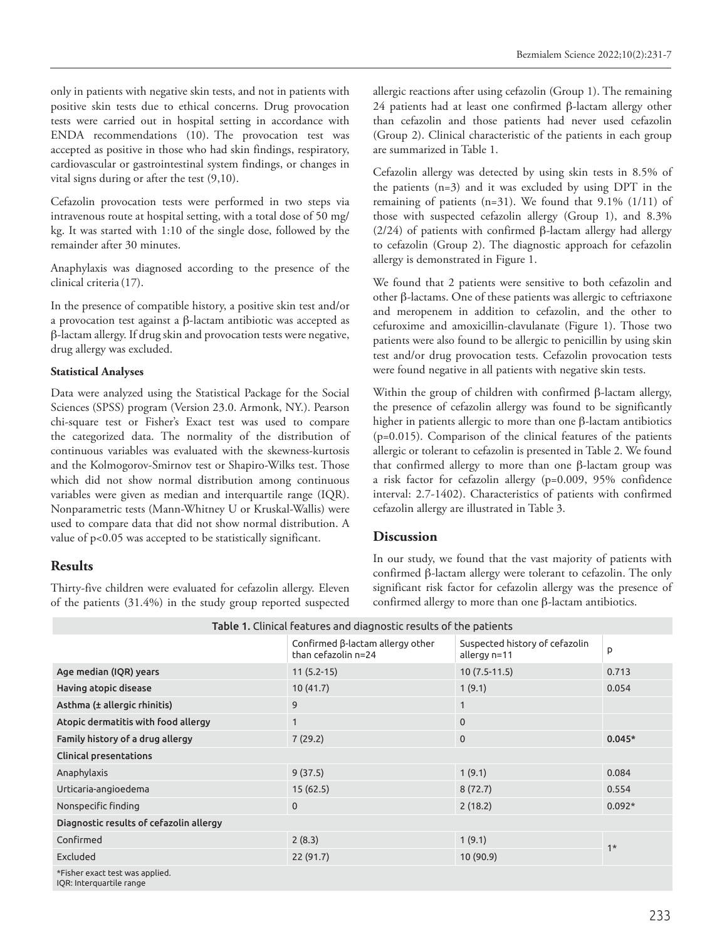only in patients with negative skin tests, and not in patients with positive skin tests due to ethical concerns. Drug provocation tests were carried out in hospital setting in accordance with ENDA recommendations (10). The provocation test was accepted as positive in those who had skin findings, respiratory, cardiovascular or gastrointestinal system findings, or changes in vital signs during or after the test (9,10).

Cefazolin provocation tests were performed in two steps via intravenous route at hospital setting, with a total dose of 50 mg/ kg. It was started with 1:10 of the single dose, followed by the remainder after 30 minutes.

Anaphylaxis was diagnosed according to the presence of the clinical criteria (17).

In the presence of compatible history, a positive skin test and/or a provocation test against a β-lactam antibiotic was accepted as β-lactam allergy. If drug skin and provocation tests were negative, drug allergy was excluded.

#### **Statistical Analyses**

Data were analyzed using the Statistical Package for the Social Sciences (SPSS) program (Version 23.0. Armonk, NY.). Pearson chi-square test or Fisher's Exact test was used to compare the categorized data. The normality of the distribution of continuous variables was evaluated with the skewness-kurtosis and the Kolmogorov-Smirnov test or Shapiro-Wilks test. Those which did not show normal distribution among continuous variables were given as median and interquartile range (IQR). Nonparametric tests (Mann-Whitney U or Kruskal-Wallis) were used to compare data that did not show normal distribution. A value of p<0.05 was accepted to be statistically significant.

### **Results**

Thirty-five children were evaluated for cefazolin allergy. Eleven of the patients (31.4%) in the study group reported suspected allergic reactions after using cefazolin (Group 1). The remaining 24 patients had at least one confirmed β-lactam allergy other than cefazolin and those patients had never used cefazolin (Group 2). Clinical characteristic of the patients in each group are summarized in Table 1.

Cefazolin allergy was detected by using skin tests in 8.5% of the patients (n=3) and it was excluded by using DPT in the remaining of patients (n=31). We found that 9.1% (1/11) of those with suspected cefazolin allergy (Group 1), and 8.3% (2/24) of patients with confirmed β-lactam allergy had allergy to cefazolin (Group 2). The diagnostic approach for cefazolin allergy is demonstrated in Figure 1.

We found that 2 patients were sensitive to both cefazolin and other β-lactams. One of these patients was allergic to ceftriaxone and meropenem in addition to cefazolin, and the other to cefuroxime and amoxicillin-clavulanate (Figure 1). Those two patients were also found to be allergic to penicillin by using skin test and/or drug provocation tests. Cefazolin provocation tests were found negative in all patients with negative skin tests.

Within the group of children with confirmed β-lactam allergy, the presence of cefazolin allergy was found to be significantly higher in patients allergic to more than one β-lactam antibiotics (p=0.015). Comparison of the clinical features of the patients allergic or tolerant to cefazolin is presented in Table 2. We found that confirmed allergy to more than one β-lactam group was a risk factor for cefazolin allergy (p=0.009, 95% confidence interval: 2.7-1402). Characteristics of patients with confirmed cefazolin allergy are illustrated in Table 3.

### **Discussion**

In our study, we found that the vast majority of patients with confirmed β-lactam allergy were tolerant to cefazolin. The only significant risk factor for cefazolin allergy was the presence of confirmed allergy to more than one β-lactam antibiotics.

| Table 1. Clinical features and diagnostic results of the patients |                                                                |                                                |          |  |  |  |  |
|-------------------------------------------------------------------|----------------------------------------------------------------|------------------------------------------------|----------|--|--|--|--|
|                                                                   | Confirmed $\beta$ -lactam allergy other<br>than cefazolin n=24 | Suspected history of cefazolin<br>allergy n=11 | P        |  |  |  |  |
| Age median (IQR) years                                            | $11(5.2-15)$                                                   | $10(7.5-11.5)$                                 | 0.713    |  |  |  |  |
| Having atopic disease                                             | 10(41.7)                                                       | 1(9.1)                                         | 0.054    |  |  |  |  |
| Asthma (± allergic rhinitis)                                      | 9                                                              | $\mathbf{1}$                                   |          |  |  |  |  |
| Atopic dermatitis with food allergy                               | 1                                                              | $\mathbf 0$                                    |          |  |  |  |  |
| Family history of a drug allergy                                  | 7(29.2)                                                        | $\mathbf 0$                                    | $0.045*$ |  |  |  |  |
| <b>Clinical presentations</b>                                     |                                                                |                                                |          |  |  |  |  |
| Anaphylaxis                                                       | 9(37.5)                                                        | 1(9.1)                                         | 0.084    |  |  |  |  |
| Urticaria-angioedema                                              | 15(62.5)                                                       | 8(72.7)                                        | 0.554    |  |  |  |  |
| Nonspecific finding                                               | $\mathbf 0$                                                    | 2(18.2)                                        | $0.092*$ |  |  |  |  |
| Diagnostic results of cefazolin allergy                           |                                                                |                                                |          |  |  |  |  |
| Confirmed                                                         | 2(8.3)                                                         | 1(9.1)                                         |          |  |  |  |  |
| Excluded                                                          | 22(91.7)                                                       | 10(90.9)                                       | $1*$     |  |  |  |  |
| *Fisher exact test was applied.                                   |                                                                |                                                |          |  |  |  |  |

IQR: Interquartile range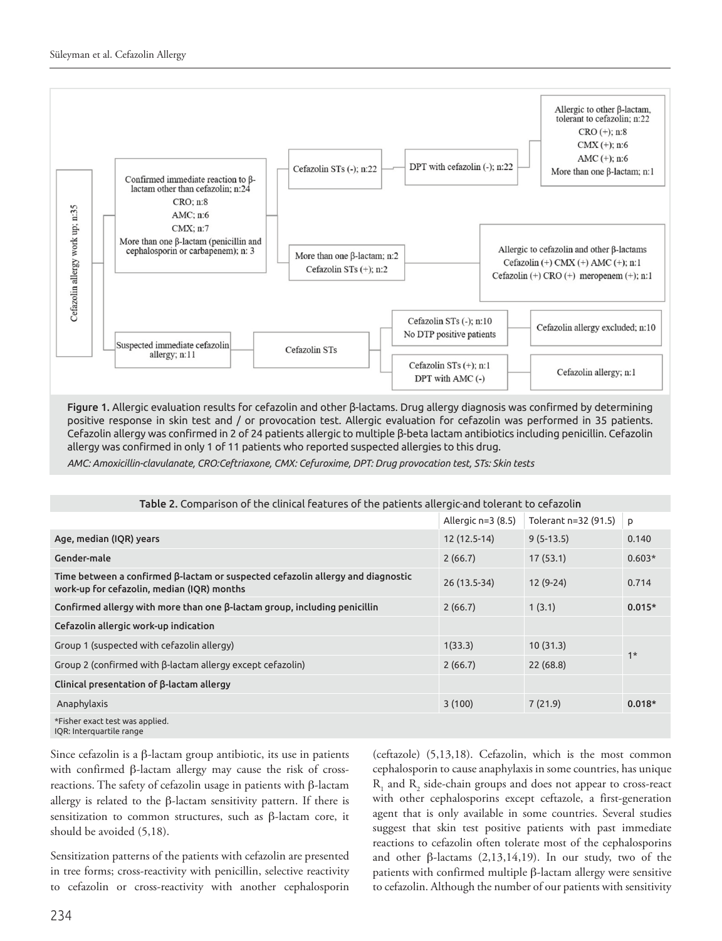

Figure 1. Allergic evaluation results for cefazolin and other β-lactams. Drug allergy diagnosis was confirmed by determining positive response in skin test and / or provocation test. Allergic evaluation for cefazolin was performed in 35 patients. Cefazolin allergy was confirmed in 2 of 24 patients allergic to multiple β-beta lactam antibiotics including penicillin. Cefazolin allergy was confirmed in only 1 of 11 patients who reported suspected allergies to this drug.

*AMC: Amoxicillin-clavulanate, CRO:Ceftriaxone, CMX: Cefuroxime, DPT: Drug provocation test, STs: Skin tests*

| Table 2. Comparison of the clinical features of the patients allergic-and tolerant to cefazolin                                      |                    |                      |          |  |  |  |  |  |
|--------------------------------------------------------------------------------------------------------------------------------------|--------------------|----------------------|----------|--|--|--|--|--|
|                                                                                                                                      | Allergic n=3 (8.5) | Tolerant n=32 (91.5) | p        |  |  |  |  |  |
| Age, median (IQR) years                                                                                                              | 12 (12.5-14)       | $9(5-13.5)$          | 0.140    |  |  |  |  |  |
| Gender-male                                                                                                                          | 2(66.7)            | 17(53.1)             | $0.603*$ |  |  |  |  |  |
| Time between a confirmed $\beta$ -lactam or suspected cefazolin allergy and diagnostic<br>work-up for cefazolin, median (IQR) months | 26 (13.5-34)       | $12(9-24)$           | 0.714    |  |  |  |  |  |
| Confirmed allergy with more than one $\beta$ -lactam group, including penicillin                                                     | 2(66.7)            | 1(3.1)               | $0.015*$ |  |  |  |  |  |
| Cefazolin allergic work-up indication                                                                                                |                    |                      |          |  |  |  |  |  |
| Group 1 (suspected with cefazolin allergy)                                                                                           | 1(33.3)            | 10(31.3)             | $1*$     |  |  |  |  |  |
| Group 2 (confirmed with B-lactam allergy except cefazolin)                                                                           | 2(66.7)            | 22(68.8)             |          |  |  |  |  |  |
| Clinical presentation of $\beta$ -lactam allergy                                                                                     |                    |                      |          |  |  |  |  |  |
| Anaphylaxis                                                                                                                          | 3(100)             | 7(21.9)              | $0.018*$ |  |  |  |  |  |
| *Fisher exact test was applied.<br>IQR: Interquartile range                                                                          |                    |                      |          |  |  |  |  |  |

Since cefazolin is a β-lactam group antibiotic, its use in patients with confirmed β-lactam allergy may cause the risk of crossreactions. The safety of cefazolin usage in patients with β-lactam allergy is related to the  $\beta$ -lactam sensitivity pattern. If there is sensitization to common structures, such as β-lactam core, it should be avoided (5,18).

Sensitization patterns of the patients with cefazolin are presented in tree forms; cross-reactivity with penicillin, selective reactivity to cefazolin or cross-reactivity with another cephalosporin

(ceftazole) (5,13,18). Cefazolin, which is the most common cephalosporin to cause anaphylaxis in some countries, has unique  $R_1$  and  $R_2$  side-chain groups and does not appear to cross-react with other cephalosporins except ceftazole, a first-generation agent that is only available in some countries. Several studies suggest that skin test positive patients with past immediate reactions to cefazolin often tolerate most of the cephalosporins and other  $\beta$ -lactams  $(2,13,14,19)$ . In our study, two of the patients with confirmed multiple β-lactam allergy were sensitive to cefazolin. Although the number of our patients with sensitivity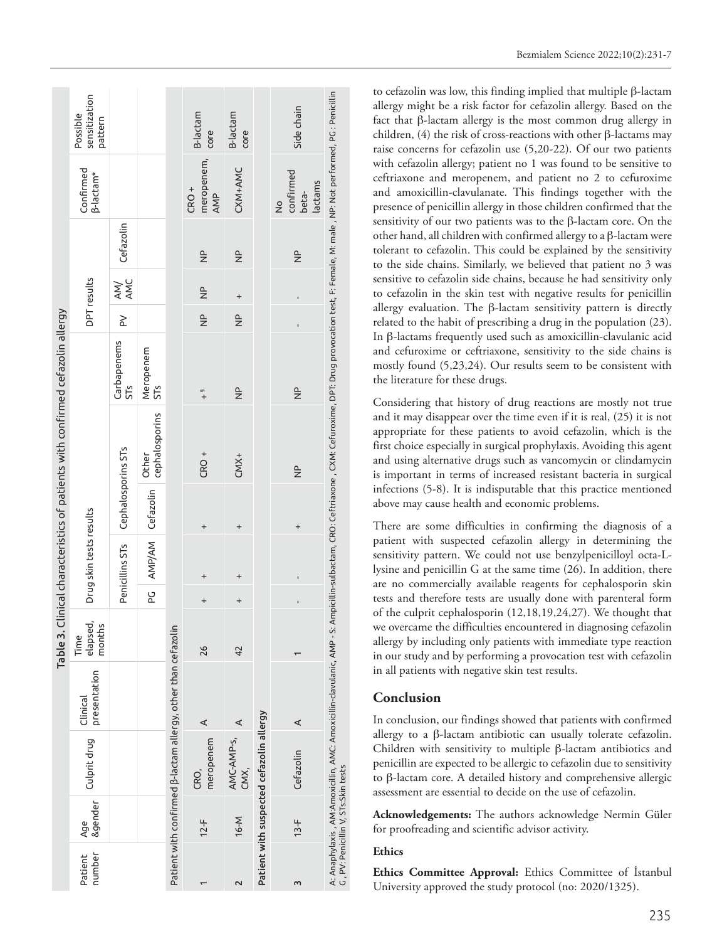| Table 3. Clinical characteristics of patients with confirmed cefazolin allergy | sensitization<br>Possible<br>pattern |                    |                              |                                                               | B-lactam<br>core                      | B-lactam<br>core                |                                          | Side chain                                     |                                                                                                                                                                                                                   |
|--------------------------------------------------------------------------------|--------------------------------------|--------------------|------------------------------|---------------------------------------------------------------|---------------------------------------|---------------------------------|------------------------------------------|------------------------------------------------|-------------------------------------------------------------------------------------------------------------------------------------------------------------------------------------------------------------------|
|                                                                                | Confirmed<br><b>B-lactam*</b>        |                    |                              |                                                               | meropenem,<br>CRO <sup>+</sup><br>AMP | CXM+AMC                         |                                          | confirmed<br>lactams<br>beta-<br>$\frac{1}{2}$ |                                                                                                                                                                                                                   |
|                                                                                | DPT results                          | Cefazolin          |                              |                                                               | $\frac{\rho}{Z}$                      | $\frac{a}{Z}$                   |                                          | $\frac{a}{Z}$                                  |                                                                                                                                                                                                                   |
|                                                                                |                                      | AM/<br>AMC         |                              |                                                               | $\frac{\rho}{Z}$                      | $\ddot{}$                       |                                          |                                                |                                                                                                                                                                                                                   |
|                                                                                |                                      | $\geq$             |                              |                                                               | $\frac{1}{2}$                         | $\frac{\mathsf{p}}{\mathsf{p}}$ |                                          |                                                |                                                                                                                                                                                                                   |
|                                                                                | Drug skin tests results              | Carbapenems<br>515 | Meropenem<br>ST <sub>S</sub> |                                                               | $+$                                   | $\frac{\mathsf{p}}{\mathsf{p}}$ |                                          | $\frac{\rho}{Z}$                               |                                                                                                                                                                                                                   |
|                                                                                |                                      |                    | cephalosporins<br>Other      |                                                               | CRO <sup>+</sup>                      | $CMX+$                          |                                          | $\frac{\rho}{Z}$                               | A: Anaphylaxis, AM:Amoxicillin, AMC: Amoxicillin-davulanic, AMP - S: Ampicillin-sulbactam, CRO: Ceftriaxone , CXM: Cefuroxime, DPT: Drug provocation test, F: Female, M: male, NP: Not performed, PG : Penicillin |
|                                                                                |                                      | Cephalosporins STs |                              |                                                               | $\ddot{}$                             | $\ddot{}$                       |                                          | $\ddot{}$                                      |                                                                                                                                                                                                                   |
|                                                                                |                                      | Penicillins STs    | PG AMP/AM Cefazolin          |                                                               |                                       |                                 |                                          |                                                |                                                                                                                                                                                                                   |
|                                                                                |                                      |                    |                              |                                                               | $\ddot{}$                             | $\ddot{}$                       |                                          |                                                |                                                                                                                                                                                                                   |
|                                                                                | elapsed,<br>months<br>Time           |                    |                              |                                                               | 26                                    | 42                              |                                          |                                                |                                                                                                                                                                                                                   |
|                                                                                | presentation<br>Clinical             |                    |                              | Patient with confirmed β-lactam allergy, other than cefazolin | ⋖                                     | ⋖                               |                                          | ⋖                                              |                                                                                                                                                                                                                   |
|                                                                                | Culprit drug                         |                    |                              |                                                               | meropenem<br>CRO,                     | AMC-AMP-S,<br>CMX,              | Patient with suspected cefazolin allergy | Cefazolin                                      |                                                                                                                                                                                                                   |
|                                                                                | <b>&amp;gender</b><br>Age            |                    |                              |                                                               | $12-F$                                | 16-M                            |                                          | $13-F$                                         | G, PV: Penicillin V, STs:Skin tests                                                                                                                                                                               |
|                                                                                | number<br>Patient                    |                    |                              |                                                               |                                       |                                 |                                          | 3                                              |                                                                                                                                                                                                                   |

Bezmialem Science 2022;10(2):231-7

to cefazolin was low, this finding implied that multiple β-lactam allergy might be a risk factor for cefazolin allergy. Based on the fact that β-lactam allergy is the most common drug allergy in children, (4) the risk of cross-reactions with other β-lactams may raise concerns for cefazolin use (5,20-22). Of our two patients with cefazolin allergy; patient no 1 was found to be sensitive to ceftriaxone and meropenem, and patient no 2 to cefuroxime and amoxicillin-clavulanate. This findings together with the presence of penicillin allergy in those children confirmed that the sensitivity of our two patients was to the β-lactam core. On the other hand, all children with confirmed allergy to a β-lactam were tolerant to cefazolin. This could be explained by the sensitivity to the side chains. Similarly, we believed that patient no 3 was sensitive to cefazolin side chains, because he had sensitivity only to cefazolin in the skin test with negative results for penicillin allergy evaluation. The  $β$ -lactam sensitivity pattern is directly related to the habit of prescribing a drug in the population (23). In β-lactams frequently used such as amoxicillin-clavulanic acid and cefuroxime or ceftriaxone, sensitivity to the side chains is mostly found (5,23,24). Our results seem to be consistent with the literature for these drugs.

Considering that history of drug reactions are mostly not true and it may disappear over the time even if it is real, (25) it is not appropriate for these patients to avoid cefazolin, which is the first choice especially in surgical prophylaxis. Avoiding this agent and using alternative drugs such as vancomycin or clindamycin is important in terms of increased resistant bacteria in surgical infections (5-8). It is indisputable that this practice mentioned above may cause health and economic problems.

There are some difficulties in confirming the diagnosis of a patient with suspected cefazolin allergy in determining the sensitivity pattern. We could not use benzylpenicilloyl octa-Llysine and penicillin G at the same time (26). In addition, there are no commercially available reagents for cephalosporin skin tests and therefore tests are usually done with parenteral form of the culprit cephalosporin (12,18,19,24,27). We thought that we overcame the difficulties encountered in diagnosing cefazolin allergy by including only patients with immediate type reaction in our study and by performing a provocation test with cefazolin in all patients with negative skin test results.

#### **Conclusion**

In conclusion, our findings showed that patients with confirmed allergy to a β-lactam antibiotic can usually tolerate cefazolin. Children with sensitivity to multiple β-lactam antibiotics and penicillin are expected to be allergic to cefazolin due to sensitivity to β-lactam core. A detailed history and comprehensive allergic assessment are essential to decide on the use of cefazolin.

**Acknowledgements:** The authors acknowledge Nermin Güler for proofreading and scientific advisor activity.

#### **Ethics**

**Ethics Committee Approval:** Ethics Committee of İstanbul University approved the study protocol (no: 2020/1325).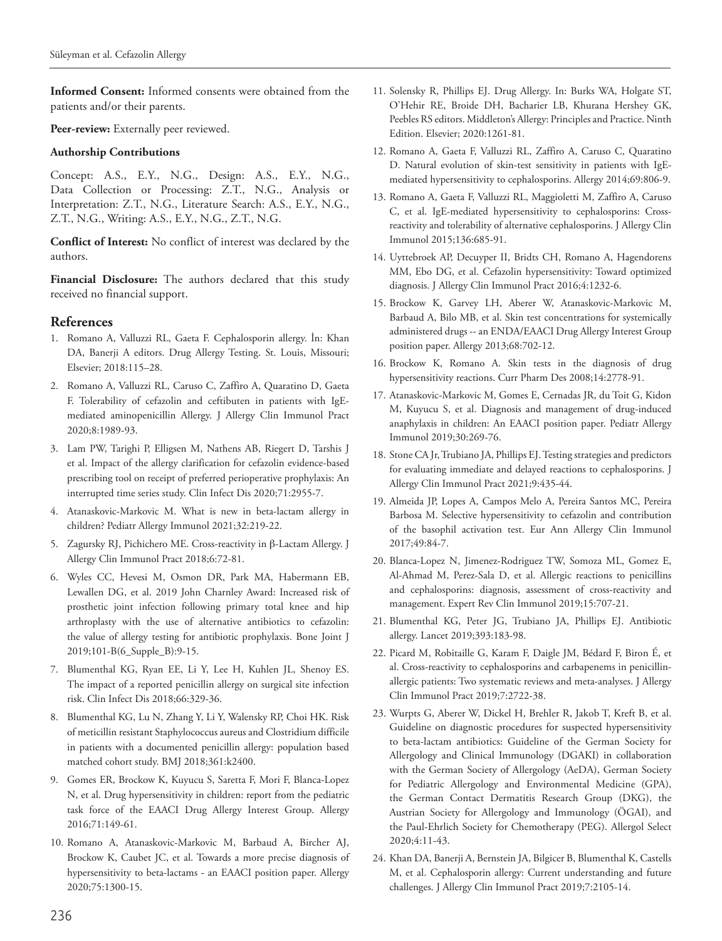**Informed Consent:** Informed consents were obtained from the patients and/or their parents.

Peer-review: Externally peer reviewed.

#### **Authorship Contributions**

Concept: A.S., E.Y., N.G., Design: A.S., E.Y., N.G., Data Collection or Processing: Z.T., N.G., Analysis or Interpretation: Z.T., N.G., Literature Search: A.S., E.Y., N.G., Z.T., N.G., Writing: A.S., E.Y., N.G., Z.T., N.G.

**Conflict of Interest:** No conflict of interest was declared by the authors.

**Financial Disclosure:** The authors declared that this study received no financial support.

#### **References**

- 1. Romano A, Valluzzi RL, Gaeta F. Cephalosporin allergy. İn: Khan DA, Banerji A editors. Drug Allergy Testing. St. Louis, Missouri; Elsevier; 2018:115–28.
- 2. Romano A, Valluzzi RL, Caruso C, Zaffiro A, Quaratino D, Gaeta F. Tolerability of cefazolin and ceftibuten in patients with IgEmediated aminopenicillin Allergy. J Allergy Clin Immunol Pract 2020;8:1989-93.
- 3. Lam PW, Tarighi P, Elligsen M, Nathens AB, Riegert D, Tarshis J et al. Impact of the allergy clarification for cefazolin evidence-based prescribing tool on receipt of preferred perioperative prophylaxis: An interrupted time series study. Clin Infect Dis 2020;71:2955-7.
- 4. Atanaskovic-Markovic M. What is new in beta-lactam allergy in children? Pediatr Allergy Immunol 2021;32:219-22.
- 5. Zagursky RJ, Pichichero ME. Cross-reactivity in β-Lactam Allergy. J Allergy Clin Immunol Pract 2018;6:72-81.
- 6. Wyles CC, Hevesi M, Osmon DR, Park MA, Habermann EB, Lewallen DG, et al. 2019 John Charnley Award: Increased risk of prosthetic joint infection following primary total knee and hip arthroplasty with the use of alternative antibiotics to cefazolin: the value of allergy testing for antibiotic prophylaxis. Bone Joint J 2019;101-B(6\_Supple\_B):9-15.
- 7. Blumenthal KG, Ryan EE, Li Y, Lee H, Kuhlen JL, Shenoy ES. The impact of a reported penicillin allergy on surgical site infection risk. Clin Infect Dis 2018;66:329-36.
- 8. Blumenthal KG, Lu N, Zhang Y, Li Y, Walensky RP, Choi HK. Risk of meticillin resistant Staphylococcus aureus and Clostridium difficile in patients with a documented penicillin allergy: population based matched cohort study. BMJ 2018;361:k2400.
- 9. Gomes ER, Brockow K, Kuyucu S, Saretta F, Mori F, Blanca-Lopez N, et al. Drug hypersensitivity in children: report from the pediatric task force of the EAACI Drug Allergy Interest Group. Allergy 2016;71:149-61.
- 10. Romano A, Atanaskovic-Markovic M, Barbaud A, Bircher AJ, Brockow K, Caubet JC, et al. Towards a more precise diagnosis of hypersensitivity to beta-lactams - an EAACI position paper. Allergy 2020;75:1300-15.
- 11. Solensky R, Phillips EJ. Drug Allergy. In: Burks WA, Holgate ST, O'Hehir RE, Broide DH, Bacharier LB, Khurana Hershey GK, Peebles RS editors. Middleton's Allergy: Principles and Practice. Ninth Edition. Elsevier; 2020:1261-81.
- 12. Romano A, Gaeta F, Valluzzi RL, Zaffiro A, Caruso C, Quaratino D. Natural evolution of skin-test sensitivity in patients with IgEmediated hypersensitivity to cephalosporins. Allergy 2014;69:806-9.
- 13. Romano A, Gaeta F, Valluzzi RL, Maggioletti M, Zaffiro A, Caruso C, et al. IgE-mediated hypersensitivity to cephalosporins: Crossreactivity and tolerability of alternative cephalosporins. J Allergy Clin Immunol 2015;136:685-91.
- 14. Uyttebroek AP, Decuyper II, Bridts CH, Romano A, Hagendorens MM, Ebo DG, et al. Cefazolin hypersensitivity: Toward optimized diagnosis. J Allergy Clin Immunol Pract 2016;4:1232-6.
- 15. Brockow K, Garvey LH, Aberer W, Atanaskovic-Markovic M, Barbaud A, Bilo MB, et al. Skin test concentrations for systemically administered drugs -- an ENDA/EAACI Drug Allergy Interest Group position paper. Allergy 2013;68:702-12.
- 16. Brockow K, Romano A. Skin tests in the diagnosis of drug hypersensitivity reactions. Curr Pharm Des 2008;14:2778-91.
- 17. Atanaskovic-Markovic M, Gomes E, Cernadas JR, du Toit G, Kidon M, Kuyucu S, et al. Diagnosis and management of drug-induced anaphylaxis in children: An EAACI position paper. Pediatr Allergy Immunol 2019;30:269-76.
- 18. Stone CA Jr, Trubiano JA, Phillips EJ. Testing strategies and predictors for evaluating immediate and delayed reactions to cephalosporins. J Allergy Clin Immunol Pract 2021;9:435-44.
- 19. Almeida JP, Lopes A, Campos Melo A, Pereira Santos MC, Pereira Barbosa M. Selective hypersensitivity to cefazolin and contribution of the basophil activation test. Eur Ann Allergy Clin Immunol 2017;49:84-7.
- 20. Blanca-Lopez N, Jimenez-Rodriguez TW, Somoza ML, Gomez E, Al-Ahmad M, Perez-Sala D, et al. Allergic reactions to penicillins and cephalosporins: diagnosis, assessment of cross-reactivity and management. Expert Rev Clin Immunol 2019;15:707-21.
- 21. Blumenthal KG, Peter JG, Trubiano JA, Phillips EJ. Antibiotic allergy. Lancet 2019;393:183-98.
- 22. Picard M, Robitaille G, Karam F, Daigle JM, Bédard F, Biron É, et al. Cross-reactivity to cephalosporins and carbapenems in penicillinallergic patients: Two systematic reviews and meta-analyses. J Allergy Clin Immunol Pract 2019;7:2722-38.
- 23. Wurpts G, Aberer W, Dickel H, Brehler R, Jakob T, Kreft B, et al. Guideline on diagnostic procedures for suspected hypersensitivity to beta-lactam antibiotics: Guideline of the German Society for Allergology and Clinical Immunology (DGAKI) in collaboration with the German Society of Allergology (AeDA), German Society for Pediatric Allergology and Environmental Medicine (GPA), the German Contact Dermatitis Research Group (DKG), the Austrian Society for Allergology and Immunology (ÖGAI), and the Paul-Ehrlich Society for Chemotherapy (PEG). Allergol Select 2020;4:11-43.
- 24. Khan DA, Banerji A, Bernstein JA, Bilgicer B, Blumenthal K, Castells M, et al. Cephalosporin allergy: Current understanding and future challenges. J Allergy Clin Immunol Pract 2019;7:2105-14.